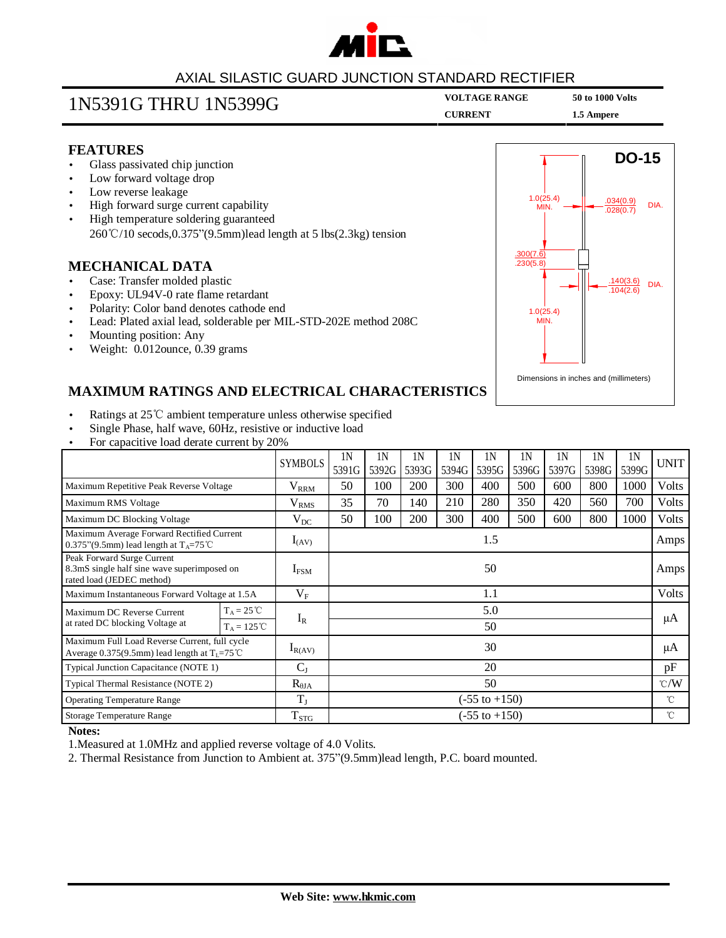

#### AXIAL SILASTIC GUARD JUNCTION STANDARD RECTIFIER

## **VOLTAGE RANGE <sup>50</sup> to <sup>1000</sup> Volts** 1N5391G THRU 1N5399G

**CURRENT 1.5 Ampere** 

#### **FEATURES**

- Glass passivated chip junction
- Low forward voltage drop
- Low reverse leakage
- High forward surge current capability
- High temperature soldering guaranteed 260℃/10 secods,0.375"(9.5mm)lead length at 5 lbs(2.3kg) tension

#### **MECHANICAL DATA**

- Case: Transfer molded plastic
- Epoxy: UL94V-0 rate flame retardant
- Polarity: Color band denotes cathode end
- Lead: Plated axial lead, solderable per MIL-STD-202E method 208C
- Mounting position: Any
- Weight: 0.012ounce, 0.39 grams



#### **MAXIMUM RATINGS AND ELECTRICAL CHARACTERISTICS**

- Ratings at 25℃ ambient temperature unless otherwise specified
- Single Phase, half wave, 60Hz, resistive or inductive load
- For capacitive load derate current by 20%

|                                                                                                           |                      | <b>SYMBOLS</b>   | 1N<br>5391G              | 1N<br>5392G | 1N<br>5393G | 1 <sup>N</sup><br>5394G | 1N<br>5395G | 1 <sup>N</sup><br>5396G | 1N<br>5397G | 1N<br>5398G | 1N<br>5399G  | <b>UNIT</b>   |
|-----------------------------------------------------------------------------------------------------------|----------------------|------------------|--------------------------|-------------|-------------|-------------------------|-------------|-------------------------|-------------|-------------|--------------|---------------|
| Maximum Repetitive Peak Reverse Voltage                                                                   |                      | $V_{\rm RRM}$    | 50                       | 100         | 200         | 300                     | 400         | 500                     | 600         | 800         | 1000         | Volts         |
| Maximum RMS Voltage                                                                                       |                      | V <sub>RMS</sub> | 35                       | 70          | 140         | 210                     | 280         | 350                     | 420         | 560         | 700          | Volts         |
| Maximum DC Blocking Voltage                                                                               |                      | $V_{DC}$         | 50                       | 100         | 200         | 300                     | 400         | 500                     | 600         | 800         | 1000         | Volts         |
| Maximum Average Forward Rectified Current<br>0.375"(9.5mm) lead length at $T_A = 75^{\circ}$ C            |                      | $I_{(AV)}$       | 1.5                      |             |             |                         |             |                         |             |             |              | Amps          |
| Peak Forward Surge Current<br>8.3mS single half sine wave superimposed on<br>rated load (JEDEC method)    |                      | $I_{FSM}$        | 50                       |             |             |                         |             |                         |             |             | Amps         |               |
| Maximum Instantaneous Forward Voltage at 1.5A                                                             |                      | $V_{\rm F}$      | 1.1                      |             |             |                         |             |                         |             |             | <b>Volts</b> |               |
| Maximum DC Reverse Current<br>at rated DC blocking Voltage at                                             | $T_A = 25^{\circ}C$  | $I_R$            | 5.0                      |             |             |                         |             |                         |             |             |              | μA            |
|                                                                                                           | $T_A = 125^{\circ}C$ |                  |                          | 50          |             |                         |             |                         |             |             |              |               |
| Maximum Full Load Reverse Current, full cycle<br>Average 0.375(9.5mm) lead length at $T_L = 75^{\circ}$ C |                      | $I_{R(AV)}$      | 30                       |             |             |                         |             |                         |             |             |              | μA            |
| Typical Junction Capacitance (NOTE 1)                                                                     |                      | $C_{J}$          | 20                       |             |             |                         |             |                         |             |             |              | pF            |
| Typical Thermal Resistance (NOTE 2)                                                                       |                      | $R_{\theta JA}$  | 50                       |             |             |                         |             |                         |             |             |              | $\degree$ C/W |
| <b>Operating Temperature Range</b>                                                                        |                      | $T_{J}$          | $(-55 \text{ to } +150)$ |             |             |                         |             |                         |             |             |              | $^{\circ}$ C  |
| Storage Temperature Range                                                                                 |                      | $T_{STG}$        | $(-55 \text{ to } +150)$ |             |             |                         |             |                         |             |             |              | °C            |

#### **Notes:**

1.Measured at 1.0MHz and applied reverse voltage of 4.0 Volits.

2. Thermal Resistance from Junction to Ambient at. 375"(9.5mm)lead length, P.C. board mounted.